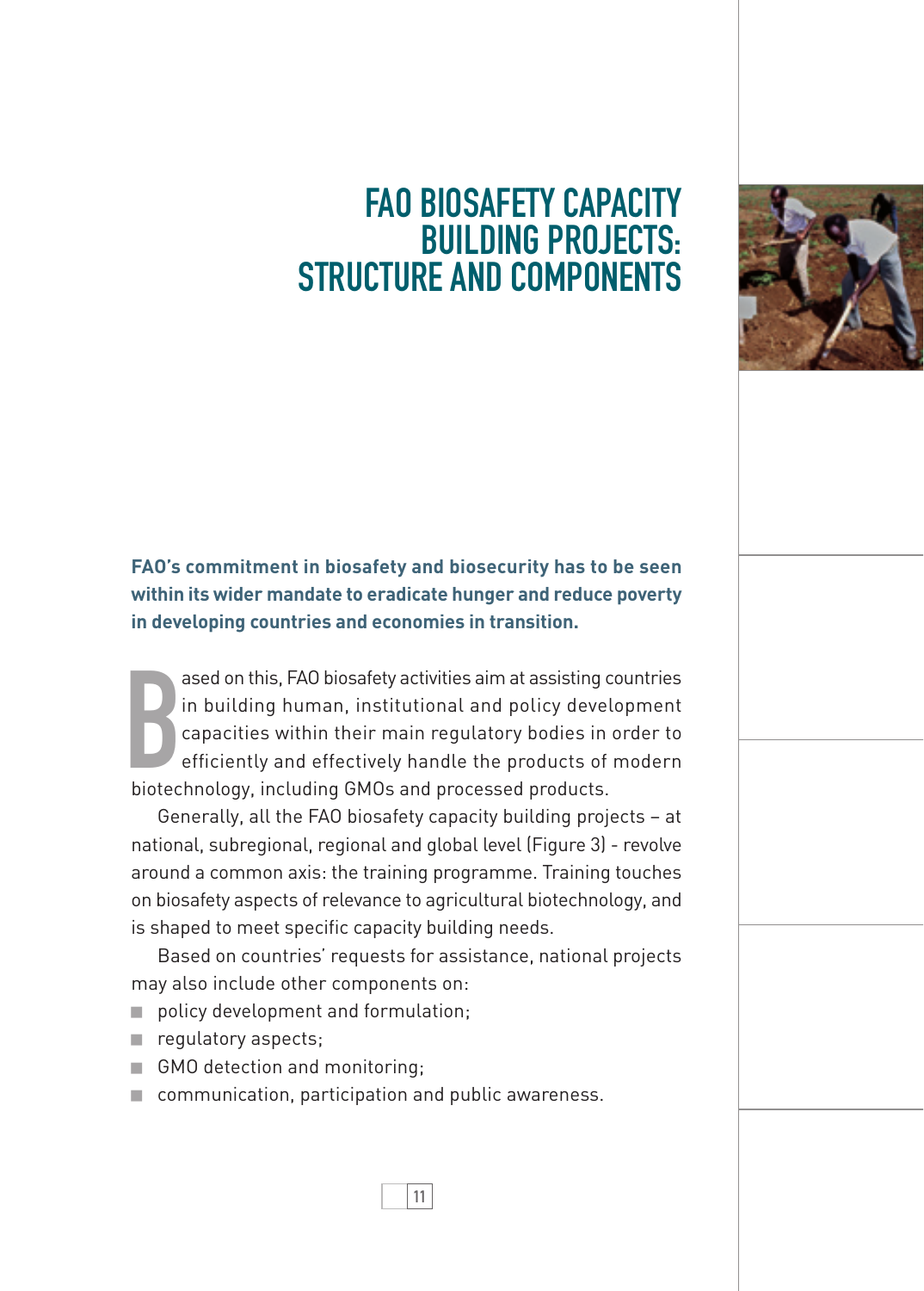## Fao Biosafety capacity **BUILDING PROJECTS:** structure and components



**FAO's commitment in biosafety and biosecurity has to be seen within its wider mandate to eradicate hunger and reduce poverty in developing countries and economies in transition.** 

ased on this, FAO biosafety activities aim at assisting c<br>
in building human, institutional and policy devel<br>
capacities within their main regulatory bodies in<br>
efficiently and effectively handle the products of<br>
biotechno ased on this, FAO biosafety activities aim at assisting countries in building human, institutional and policy development capacities within their main regulatory bodies in order to efficiently and effectively handle the products of modern

Generally, all the FAO biosafety capacity building projects – at national, subregional, regional and global level (Figure 3) - revolve around a common axis: the training programme. Training touches on biosafety aspects of relevance to agricultural biotechnology, and is shaped to meet specific capacity building needs.

Based on countries' requests for assistance, national projects may also include other components on:

11

- policy development and formulation;
- requlatory aspects;
- GMO detection and monitoring;
- communication, participation and public awareness.